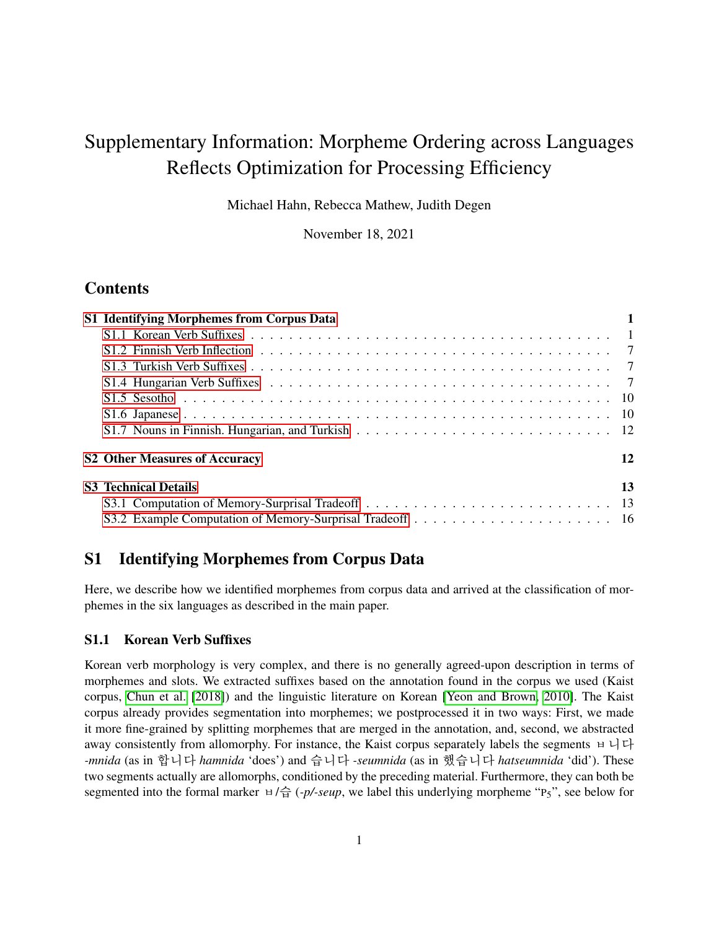# Supplementary Information: Morpheme Ordering across Languages Reflects Optimization for Processing Efficiency

Michael Hahn, Rebecca Mathew, Judith Degen

November 18, 2021

# Contents

| S1 Identifying Morphemes from Corpus Data |    |
|-------------------------------------------|----|
|                                           |    |
|                                           |    |
|                                           |    |
|                                           |    |
|                                           |    |
|                                           |    |
|                                           |    |
| <b>S2 Other Measures of Accuracy</b>      | 12 |
| <b>S3</b> Technical Details               | 13 |
|                                           |    |
|                                           |    |

# <span id="page-0-0"></span>S1 Identifying Morphemes from Corpus Data

Here, we describe how we identified morphemes from corpus data and arrived at the classification of morphemes in the six languages as described in the main paper.

#### <span id="page-0-1"></span>S1.1 Korean Verb Suffixes

Korean verb morphology is very complex, and there is no generally agreed-upon description in terms of morphemes and slots. We extracted suffixes based on the annotation found in the corpus we used (Kaist corpus, [Chun et al.](#page-18-0) [\[2018\]](#page-18-0)) and the linguistic literature on Korean [\[Yeon and Brown, 2010\]](#page-18-1). The Kaist corpus already provides segmentation into morphemes; we postprocessed it in two ways: First, we made it more fine-grained by splitting morphemes that are merged in the annotation, and, second, we abstracted away consistently from allomorphy. For instance, the Kaist corpus separately labels the segments ㅂ니다 *-mnida* (as in 합니다 *hamnida* 'does') and 습니다 *-seumnida* (as in 했습니다 *hatseumnida* 'did'). These two segments actually are allomorphs, conditioned by the preceding material. Furthermore, they can both be segmented into the formal marker  $\forall \hat{\sigma}$  (*-p/-seup*, we label this underlying morpheme "P<sub>5</sub>", see below for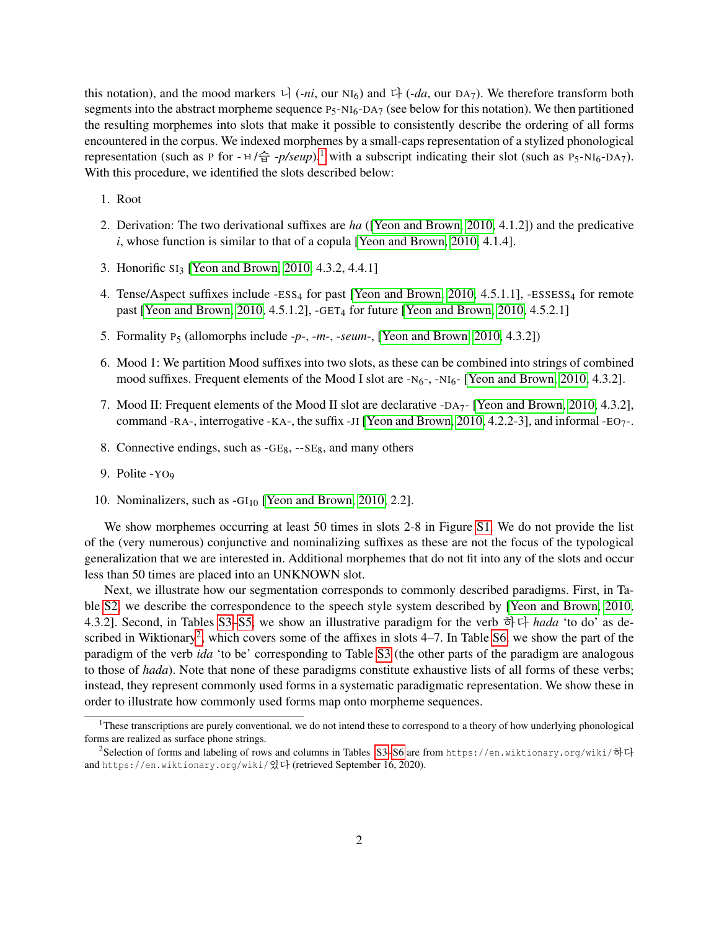this notation), and the mood markers  $\cup$  (*-ni*, our NI<sub>6</sub>) and  $\cup$  (*-da*, our DA<sub>7</sub>). We therefore transform both segments into the abstract morpheme sequence  $P_5-NI_6-DA_7$  (see below for this notation). We then partitioned the resulting morphemes into slots that make it possible to consistently describe the ordering of all forms encountered in the corpus. We indexed morphemes by a small-caps representation of a stylized phonological representation (such as P for  $- \frac{1}{\Theta}$  $- \frac{1}{\Theta}$  $- \frac{1}{\Theta}$  -*p/seup*),<sup>1</sup> with a subscript indicating their slot (such as P<sub>5</sub>-NI<sub>6</sub>-DA<sub>7</sub>). With this procedure, we identified the slots described below:

- 1. Root
- 2. Derivation: The two derivational suffixes are *ha* ([\[Yeon and Brown, 2010,](#page-18-1) 4.1.2]) and the predicative *i*, whose function is similar to that of a copula [\[Yeon and Brown, 2010,](#page-18-1) 4.1.4].
- 3. Honorific SI<sup>3</sup> [\[Yeon and Brown, 2010,](#page-18-1) 4.3.2, 4.4.1]
- 4. Tense/Aspect suffixes include -ESS<sub>4</sub> for past [\[Yeon and Brown, 2010,](#page-18-1) 4.5.1.1], -ESSESS<sub>4</sub> for remote past [\[Yeon and Brown, 2010,](#page-18-1) 4.5.1.2],  $-GET_4$  for future [Yeon and Brown, 2010, 4.5.2.1]
- 5. Formality P<sup>5</sup> (allomorphs include -*p*-, -*m*-, -*seum*-, [\[Yeon and Brown, 2010,](#page-18-1) 4.3.2])
- 6. Mood 1: We partition Mood suffixes into two slots, as these can be combined into strings of combined mood suffixes. Frequent elements of the Mood I slot are  $-N<sub>6</sub>$ ,  $-N<sub>16</sub>$ . [\[Yeon and Brown, 2010,](#page-18-1) 4.3.2].
- 7. Mood II: Frequent elements of the Mood II slot are declarative -DA7- [\[Yeon and Brown, 2010,](#page-18-1) 4.3.2], command -RA-, interrogative -KA-, the suffix -JI [\[Yeon and Brown, 2010,](#page-18-1) 4.2.2-3], and informal -EO7-.
- 8. Connective endings, such as -GE8, --SE8, and many others
- 9. Polite -YO<sup>9</sup>
- 10. Nominalizers, such as  $-GI<sub>10</sub>$  [\[Yeon and Brown, 2010,](#page-18-1) 2.2].

We show morphemes occurring at least 50 times in slots 2-8 in Figure [S1.](#page-2-0) We do not provide the list of the (very numerous) conjunctive and nominalizing suffixes as these are not the focus of the typological generalization that we are interested in. Additional morphemes that do not fit into any of the slots and occur less than 50 times are placed into an UNKNOWN slot.

Next, we illustrate how our segmentation corresponds to commonly described paradigms. First, in Table [S2,](#page-3-0) we describe the correspondence to the speech style system described by [\[Yeon and Brown, 2010,](#page-18-1) 4.3.2]. Second, in Tables [S3–](#page-4-0)[S5,](#page-5-0) we show an illustrative paradigm for the verb 하다 *hada* 'to do' as de-scribed in Wiktionary<sup>[2](#page-1-1)</sup>, which covers some of the affixes in slots  $4-7$ . In Table [S6,](#page-6-3) we show the part of the paradigm of the verb *ida* 'to be' corresponding to Table [S3](#page-4-0) (the other parts of the paradigm are analogous to those of *hada*). Note that none of these paradigms constitute exhaustive lists of all forms of these verbs; instead, they represent commonly used forms in a systematic paradigmatic representation. We show these in order to illustrate how commonly used forms map onto morpheme sequences.

<span id="page-1-0"></span> $<sup>1</sup>$ These transcriptions are purely conventional, we do not intend these to correspond to a theory of how underlying phonological</sup> forms are realized as surface phone strings.

<span id="page-1-1"></span><sup>&</sup>lt;sup>2</sup>Selection of forms and labeling of rows and columns in Tables [S3–](#page-4-0)[S6](#page-6-3) are from https://en.wiktionary.org/wiki/하다 and https://en.wiktionary.org/wiki/있다 (retrieved September 16, 2020).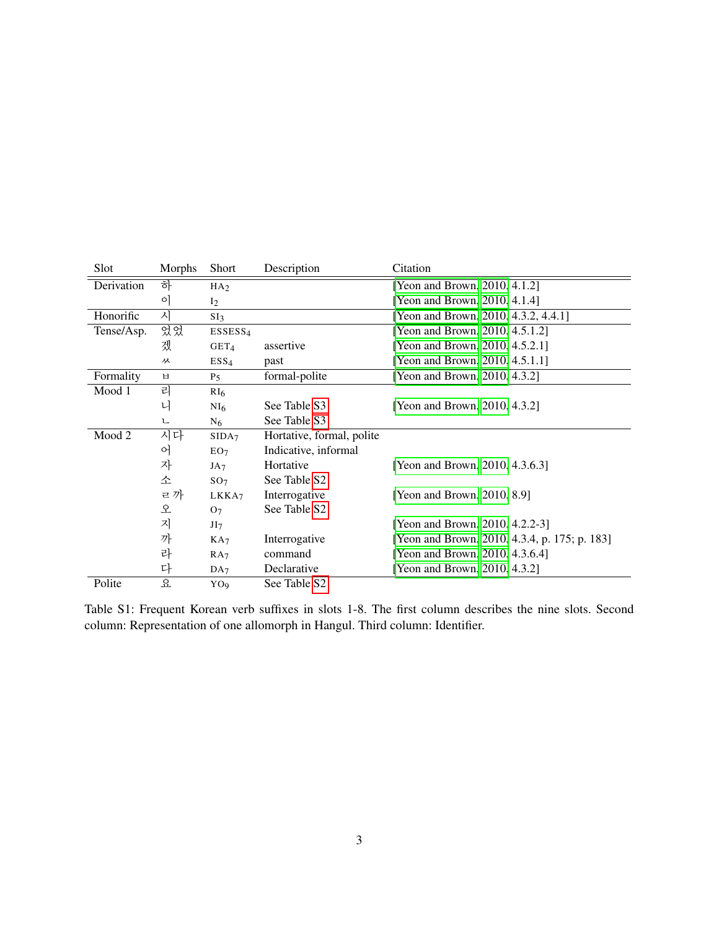| Slot       | Morphs  | <b>Short</b>        | Description               | Citation                                      |
|------------|---------|---------------------|---------------------------|-----------------------------------------------|
| Derivation | 하       | HA <sub>2</sub>     |                           | [Yeon and Brown, 2010, 4.1.2]                 |
|            | $\circ$ | I <sub>2</sub>      |                           | [Yeon and Brown, 2010, 4.1.4]                 |
| Honorific  | 시       | SI <sub>3</sub>     |                           | [Yeon and Brown, 2010, 4.3.2, 4.4.1]          |
| Tense/Asp. | 었었      | ESSESS <sub>4</sub> |                           | [Yeon and Brown, 2010, 4.5.1.2]               |
|            | 겠       | GET <sub>4</sub>    | assertive                 | [Yeon and Brown, 2010, 4.5.2.1]               |
|            | ᆻ       | ESS <sub>4</sub>    | past                      | [Yeon and Brown, 2010, 4.5.1.1]               |
| Formality  | 日       | P <sub>5</sub>      | formal-polite             | [Yeon and Brown, 2010, 4.3.2]                 |
| Mood 1     | 리       | RI <sub>6</sub>     |                           |                                               |
|            | 니       | NI <sub>6</sub>     | See Table S3              | [Yeon and Brown, 2010, 4.3.2]                 |
|            | 乚       | N <sub>6</sub>      | See Table S3              |                                               |
| Mood 2     | 시다      | SIDA <sub>7</sub>   | Hortative, formal, polite |                                               |
|            | 어       | EO <sub>7</sub>     | Indicative, informal      |                                               |
|            | 자       | JA <sub>7</sub>     | Hortative                 | [Yeon and Brown, 2010, 4.3.6.3]               |
|            | 소       | SO <sub>7</sub>     | See Table S <sub>2</sub>  |                                               |
|            | ㄹ까      | LKKA7               | Interrogative             | [Yeon and Brown, 2010, 8.9]                   |
|            | 오       | O <sub>7</sub>      | See Table S <sub>2</sub>  |                                               |
|            | 지       | JI7                 |                           | [Yeon and Brown, 2010, 4.2.2-3]               |
|            | 까       | KA <sub>7</sub>     | Interrogative             | [Yeon and Brown, 2010, 4.3.4, p. 175; p. 183] |
|            | 라       | RA <sub>7</sub>     | command                   | [Yeon and Brown, 2010, 4.3.6.4]               |
|            | 다       | DA <sub>7</sub>     | Declarative               | [Yeon and Brown, 2010, 4.3.2]                 |
| Polite     | 요       | YO <sub>9</sub>     | See Table S2              |                                               |

<span id="page-2-0"></span>Table S1: Frequent Korean verb suffixes in slots 1-8. The first column describes the nine slots. Second column: Representation of one allomorph in Hangul. Third column: Identifier.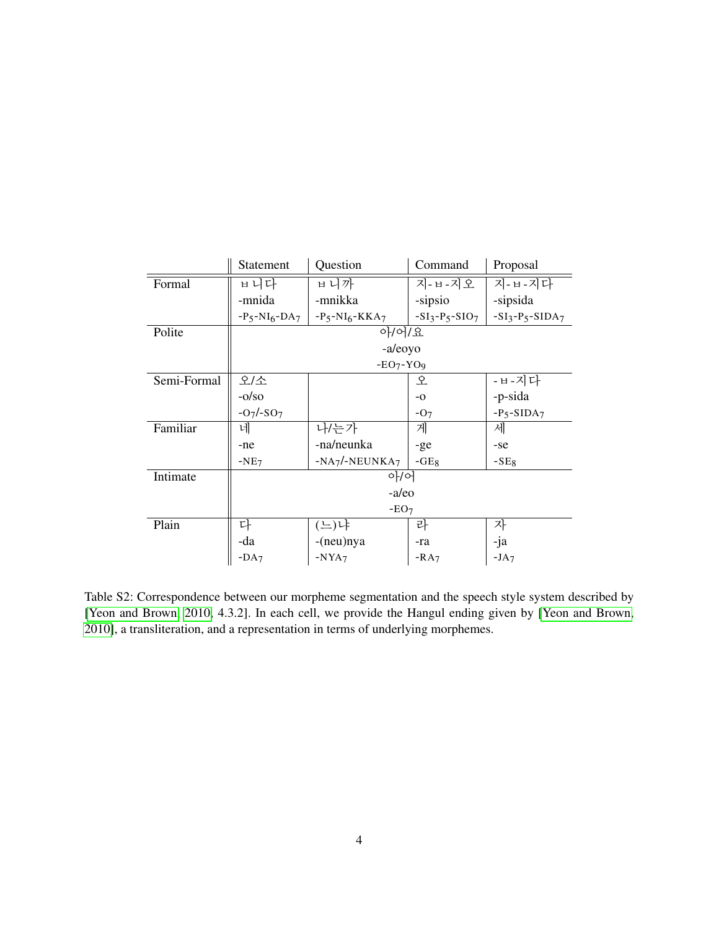|             | Statement                | Question         | Command           | Proposal        |  |  |
|-------------|--------------------------|------------------|-------------------|-----------------|--|--|
| Formal      | ㅂ니다                      | ㅂ니까              | 지-ㅂ-지오            | 지-ㅂ-지다          |  |  |
|             | -mnida                   | -mnikka          | -sipsio           | -sipsida        |  |  |
|             | $-P_5-NI_6-DA_7$         | $-P5-NI6-KKA7$   | $-SI_3-P_5-SIO_7$ | $-SI3-P5-SIDA7$ |  |  |
| Polite      |                          | 아/어/요            |                   |                 |  |  |
|             |                          | -a/eoyo          |                   |                 |  |  |
|             |                          | $-EO_7 - YO_9$   |                   |                 |  |  |
| Semi-Formal | 오/소                      |                  | 오                 | -ㅂ-지다           |  |  |
|             | $-o/so$                  |                  | $-0$              | -p-sida         |  |  |
|             | $-O_7$ /-SO <sub>7</sub> |                  | $-07$             | $-P5-SIDA7$     |  |  |
| Familiar    | 네                        | 나/는가             | 게                 | 세               |  |  |
|             | -ne                      | -na/neunka       | $-ge$             | -se             |  |  |
|             | $-NE7$                   | $-NA_7/NEUNKA_7$ | $-GE_8$           | $-SE8$          |  |  |
| Intimate    |                          | 아/어              |                   |                 |  |  |
|             | -a/eo                    |                  |                   |                 |  |  |
|             | $-EO7$                   |                  |                   |                 |  |  |
| Plain       | 다                        | (느)냐             | 라                 | 자               |  |  |
|             | -da                      | -(neu)nya        | -ra               | -ja             |  |  |
|             | $-DA7$                   | $-NYA7$          | $-RA7$            | $-JA7$          |  |  |

<span id="page-3-0"></span>Table S2: Correspondence between our morpheme segmentation and the speech style system described by [\[Yeon and Brown, 2010,](#page-18-1) 4.3.2]. In each cell, we provide the Hangul ending given by [\[Yeon and Brown,](#page-18-1) [2010\]](#page-18-1), a transliteration, and a representation in terms of underlying morphemes.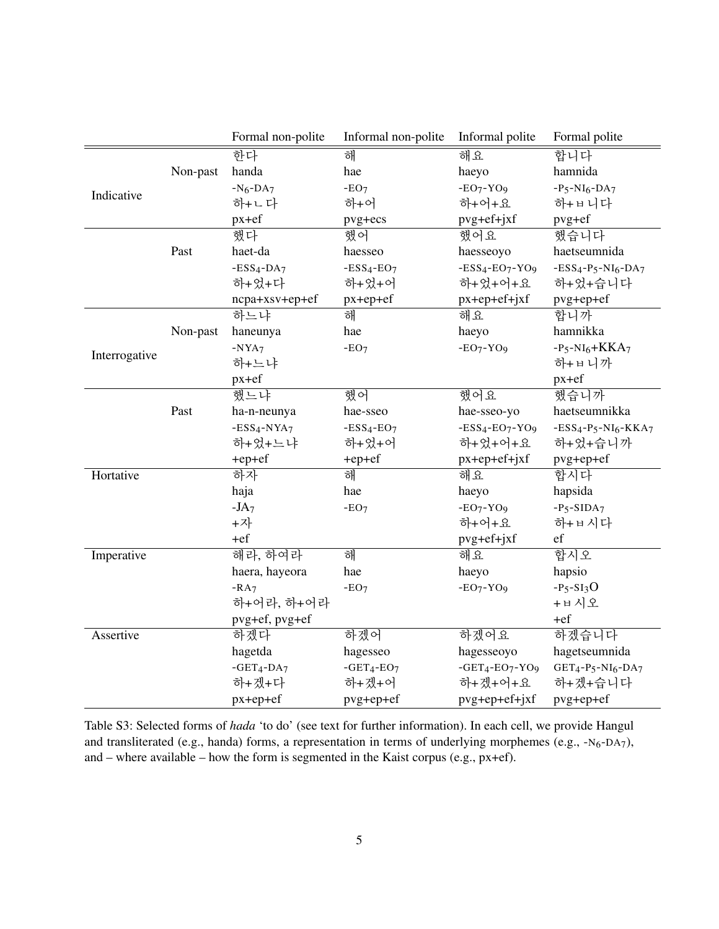|               |          | Formal non-polite | Informal non-polite | Informal polite    | Formal polite                                                                  |
|---------------|----------|-------------------|---------------------|--------------------|--------------------------------------------------------------------------------|
|               |          | 한다                | 해                   | 해요                 | 합니다                                                                            |
|               | Non-past | handa             | hae                 | haeyo              | hamnida                                                                        |
|               |          | $-N6-DA7$         | $-EO7$              | $-EO_7 - YO_9$     | $-P_5-NI_6-DA_7$                                                               |
| Indicative    |          | 하+ㄴ다              | 하+어                 | 하+어+요              | 하+ㅂ니다                                                                          |
|               |          | $px+ef$           | pvg+ecs             | pvg+ef+jxf         | pvg+ef                                                                         |
|               |          | 했다                | 했어                  | 했어요                | 했습니다                                                                           |
|               | Past     | haet-da           | haesseo             | haesseoyo          | haetseumnida                                                                   |
|               |          | $-ESS4-DA7$       | $-ESS4-EO7$         | $-ESS4-EO7-YO9$    | $-ESS4-P5-NI6-DA7$                                                             |
|               |          | 하+었+다             | 하+었+어               | 하+었+어+요            | 하+었+습니다                                                                        |
|               |          | ncpa+xsv+ep+ef    | $px+ep+ef$          | $px+ep+ef+jxf$     | pvg+ep+ef                                                                      |
|               |          | 하느냐               | 해                   | 해요                 | 합니까                                                                            |
|               | Non-past | haneunya          | hae                 | haeyo              | hamnikka                                                                       |
| Interrogative |          | $-NYA7$           | $-EO7$              | $-EO_7 - YO_9$     | $-P_5-NI_6+KKA_7$                                                              |
|               |          | 하+느냐              |                     |                    | 하+ㅂ니까                                                                          |
|               |          | $px+ef$           |                     |                    | $px+ef$                                                                        |
|               |          | 했느냐               | 했어                  | 했어요                | 했습니까                                                                           |
|               | Past     | ha-n-neunya       | hae-sseo            | hae-sseo-yo        | haetseumnikka                                                                  |
|               |          | $-ESS4-NYA7$      | $-ESS4-EO7$         | $-ESS4-EO7-YO9$    | $-ESS4-P5-NI6-KKA7$                                                            |
|               |          | 하+었+느냐            | 하+었+어               | 하+었+어+요            | 하+었+습니까                                                                        |
|               |          | +ep+ef            | +ep+ef              | $px+ep+ef+jxf$     | pvg+ep+ef                                                                      |
| Hortative     |          | 하자                | 해                   | 해요                 | 합시다                                                                            |
|               |          | haja              | hae                 | haeyo              | hapsida                                                                        |
|               |          | $-JA7$            | $-EO7$              | $-EO_7 - YO_9$     | $-P5-SIDA7$                                                                    |
|               |          | +자                |                     | 하+어+요              | 하+ㅂ시다                                                                          |
|               |          | $+ef$             |                     | pvg+ef+jxf         | ef                                                                             |
| Imperative    |          | 해라, 하여라           | 해                   | 해요                 | 합시오                                                                            |
|               |          | haera, hayeora    | hae                 | haeyo              | hapsio                                                                         |
|               |          | $-RA7$            | $-EO7$              | $-EO_7 - YO_9$     | $-P_5-SI_3O$                                                                   |
|               |          | 하+어라, 하+어라        |                     |                    | +ㅂ시오                                                                           |
|               |          | pvg+ef, pvg+ef    |                     |                    | $+ef$                                                                          |
| Assertive     |          | 하겠다               | 하겠어                 | 하겠어요               | 하겠습니다                                                                          |
|               |          | hagetda           | hagesseo            | hagesseoyo         | hagetseumnida                                                                  |
|               |          | $-GET_4-DA_7$     | $-GET_4-EO_7$       | $-GET_4-EO_7-YO_9$ | GET <sub>4</sub> -P <sub>5</sub> -N <sub>I6</sub> -D <sub>A</sub> <sub>7</sub> |
|               |          | 하+겠+다             | 하+겠+어               | 하+겠+어+요            | 하+겠+습니다                                                                        |
|               |          | $px+ep+ef$        | pvg+ep+ef           | pvg+ep+ef+jxf      | pvg+ep+ef                                                                      |

<span id="page-4-0"></span>Table S3: Selected forms of *hada* 'to do' (see text for further information). In each cell, we provide Hangul and transliterated (e.g., handa) forms, a representation in terms of underlying morphemes (e.g.,  $-N_6-DA_7$ ), and – where available – how the form is segmented in the Kaist corpus (e.g., px+ef).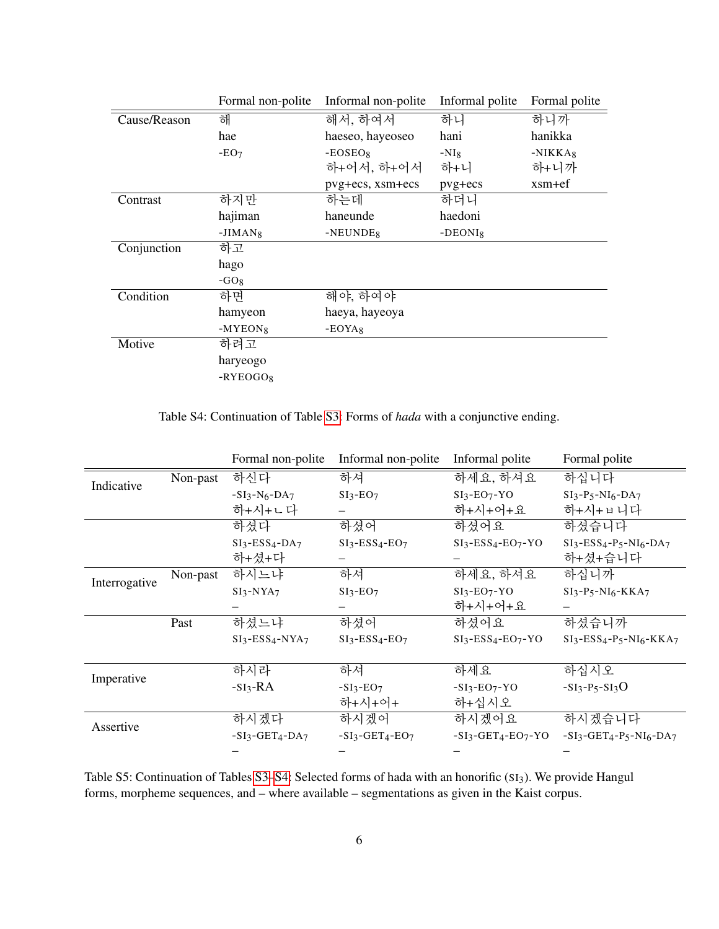|              | Formal non-polite | Informal non-polite  | Informal polite | Formal polite |
|--------------|-------------------|----------------------|-----------------|---------------|
| Cause/Reason | 해                 | 해서, 하여서              | 하니              | 하니까           |
|              | hae               | haeseo, hayeoseo     | hani            | hanikka       |
|              | $-EO7$            | $-EOSEOs$            | $-NI_8$         | $-NIKKA8$     |
|              |                   | 하+어서, 하+어서           | 하+니             | 하+니까          |
|              |                   | pvg+ecs, xsm+ecs     | pvg+ecs         | $x$ sm+ef     |
| Contrast     | 하지만               | 하는데                  | 하더니             |               |
|              | hajiman           | haneunde             | haedoni         |               |
|              | $-JIMAN_8$        | -NEUNDE <sub>8</sub> | $-DEONI_8$      |               |
| Conjunction  | 하고                |                      |                 |               |
|              | hago              |                      |                 |               |
|              | $-GO_8$           |                      |                 |               |
| Condition    | 하면                | 해야, 하여야              |                 |               |
|              | hamyeon           | haeya, hayeoya       |                 |               |
|              | $-MYEON_8$        | $-EOYA_8$            |                 |               |
| Motive       | 하려고               |                      |                 |               |
|              | haryeogo          |                      |                 |               |
|              | $-RYEOGO_8$       |                      |                 |               |

<span id="page-5-1"></span>Table S4: Continuation of Table [S3:](#page-4-0) Forms of *hada* with a conjunctive ending.

|               |          | Formal non-polite | Informal non-polite | Informal polite    | Formal polite                                                               |
|---------------|----------|-------------------|---------------------|--------------------|-----------------------------------------------------------------------------|
| Indicative    | Non-past | 하신다               | 하셔                  | 하세요, 하셔요           | 하십니다                                                                        |
|               |          | $-SI_3-N_6-DA_7$  | $SI3-EO7$           | $SI3-EO7-YO$       | $SI_3-P_5-NI_6-DA_7$                                                        |
|               |          | 하+시+ㄴ다            |                     | 하+시+어+요            | 하+시+ㅂ니다                                                                     |
|               |          | 하셨다               | 하셨어                 | 하셨어요               | 하셨습니다                                                                       |
|               |          | $SI3-ESS4-DA7$    | $SI3-ESS4-EO7$      | $SI3-ESS4-EO7-YO$  | $SI_3$ -ESS <sub>4</sub> -P <sub>5</sub> -NI <sub>6</sub> -DA <sub>7</sub>  |
|               |          | 하+셨+다             |                     |                    | 하+셨+습니다                                                                     |
| Interrogative | Non-past | 하시느냐              | 하셔                  | 하세요, 하셔요           | 하십니까                                                                        |
|               |          | $SI3-NYA7$        | $SI3-EO7$           | $SI3-EO7-YO$       | $SI3-P5-NI6-KKA7$                                                           |
|               |          |                   |                     | 하+시+어+요            |                                                                             |
|               | Past     | 하셨느냐              | 하셨어                 | 하셨어요               | 하셨습니까                                                                       |
|               |          | $SI3-ESS4-NYA7$   | $SI3-ESS4-EO7$      | $SI3-ESS4-EO7-YO$  | $SI_3$ -ESS <sub>4</sub> -P <sub>5</sub> -NI <sub>6</sub> -KKA <sub>7</sub> |
|               |          |                   |                     |                    |                                                                             |
|               |          | 하시라               | 하셔                  | 하세요                | 하십시오                                                                        |
| Imperative    |          | $-SI_3-RA$        | $-SI_3-EO_7$        | $-SI_3-EO_7-YO$    | $-SI_3-P_5-SI_3O$                                                           |
|               |          |                   | 하+시+어+              | 하+십시오              |                                                                             |
| Assertive     |          | 하시겠다              | 하시겠어                | 하시겠어요              | 하시겠습니다                                                                      |
|               |          | $-SI3-GET4-DA7$   | $-SI3-GET4-EO7$     | $-SI3-GET4-EO7-YO$ | $-SI_3-GET_4-P_5-NI_6-DA_7$                                                 |
|               |          |                   |                     |                    |                                                                             |

<span id="page-5-0"></span>Table S5: Continuation of Tables [S3–](#page-4-0)[S4:](#page-5-1) Selected forms of hada with an honorific (SI3). We provide Hangul forms, morpheme sequences, and – where available – segmentations as given in the Kaist corpus.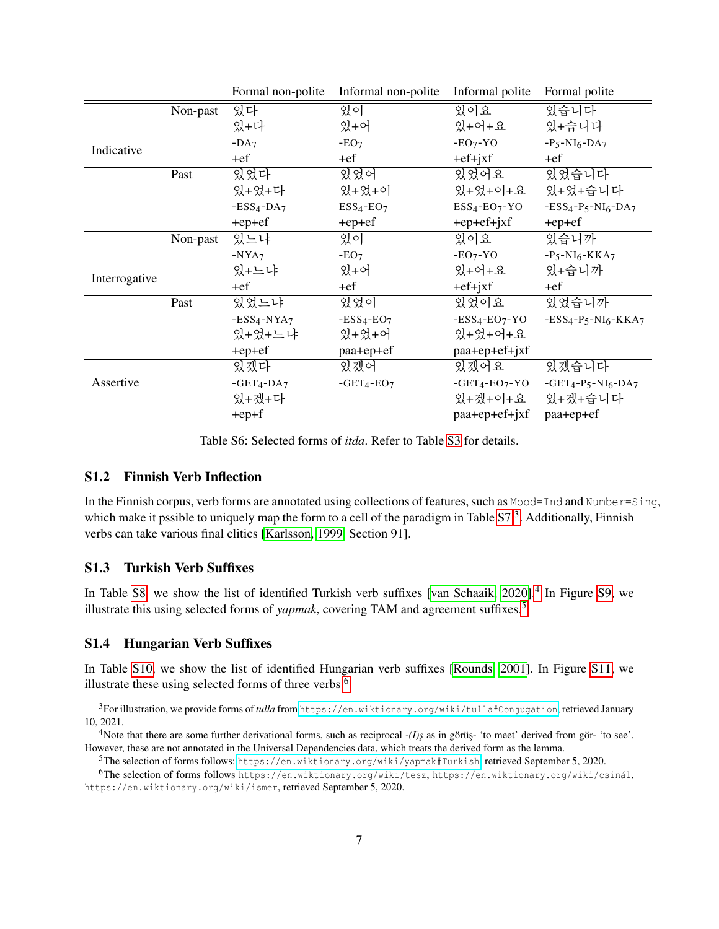|               |          | Formal non-polite | Informal non-polite | Informal polite  | Formal polite          |
|---------------|----------|-------------------|---------------------|------------------|------------------------|
|               | Non-past | 있다                | 있어                  | 있어요              | 있습니다                   |
|               |          | 있+다               | 있+어                 | 있+어+요            | 있+습니다                  |
| Indicative    |          | $-DA7$            | $-EO7$              | $-EO7-YO$        | $-P_5-NI_6-DA_7$       |
|               |          | +ef               | +ef                 | $+ef+jxf$        | $+ef$                  |
|               | Past     | 있었다               | 있었어                 | 있었어요             | 있었습니다                  |
|               |          | 있+었+다             | 있+었+어               | 있+었+어+요          | 있+었+습니다                |
|               |          | $-ESS4-DA7$       | $ESS4-EO7$          | $ESS4-EO7-YO$    | $-ESS4-P5-NI6-DA7$     |
|               |          | $+ep+ef$          | $+ep+ef$            | $+ep+ef+jxf$     | +ep+ef                 |
|               | Non-past | 있느냐               | 있어                  | 있어요              | 있습니까                   |
|               |          | $-NYA7$           | $-EO7$              | $-EO7-YO$        | $-P_5-NI_6-KKA_7$      |
| Interrogative |          | 있+느냐              | 있+어                 | 있+어+요            | 있+습니까                  |
|               |          | $+ef$             | +ef                 | $+ef+jxf$        | +ef                    |
|               | Past     | 있었느냐              | 있었어                 | 있었어요             | 있었습니까                  |
|               |          | $-ESS4-NYA7$      | $-ESS4-EO7$         | $-ESS4-EO7-YO$   | $-ESS4-P5-NI6-KKA7$    |
|               |          | 있+었+느냐            | 있+었+어               | 있+었+어+요          |                        |
|               |          | $+ep+ef$          | paa+ep+ef           | paa+ep+ef+jxf    |                        |
|               |          | 있겠다               | 있겠어                 | 있겠어요             | 있겠습니다                  |
| Assertive     |          | $-GET_4-DA_7$     | $-GET_4-EO_7$       | $-GET_4-EO_7-YO$ | $-GET_4-P_5-NI_6-DA_7$ |
|               |          | 있+겠+다             |                     | 있+겠+어+요          | 있+겠+습니다                |
|               |          | $+ep+f$           |                     | paa+ep+ef+jxf    | paa+ep+ef              |

<span id="page-6-3"></span>Table S6: Selected forms of *itda*. Refer to Table [S3](#page-4-0) for details.

#### <span id="page-6-0"></span>S1.2 Finnish Verb Inflection

In the Finnish corpus, verb forms are annotated using collections of features, such as Mood=Ind and Number=Sing, which make it pssible to uniquely map the form to a cell of the paradigm in Table [S7.](#page-7-0)<sup>[3](#page-6-4)</sup>. Additionally, Finnish verbs can take various final clitics [\[Karlsson, 1999,](#page-18-2) Section 91].

#### <span id="page-6-1"></span>S1.3 Turkish Verb Suffixes

In Table [S8,](#page-8-0) we show the list of identified Turkish verb suffixes [\[van Schaaik, 2020\]](#page-18-3).<sup>[4](#page-6-5)</sup> In Figure [S9,](#page-8-1) we illustrate this using selected forms of *yapmak*, covering TAM and agreement suffixes.[5](#page-6-6)

#### <span id="page-6-2"></span>S1.4 Hungarian Verb Suffixes

In Table [S10,](#page-9-2) we show the list of identified Hungarian verb suffixes [\[Rounds, 2001\]](#page-18-4). In Figure [S11,](#page-10-0) we illustrate these using selected forms of three verbs.<sup>[6](#page-6-7)</sup>

<span id="page-6-4"></span><sup>3</sup>For illustration, we provide forms of *tulla* from <https://en.wiktionary.org/wiki/tulla#Conjugation>, retrieved January 10, 2021.

<span id="page-6-5"></span><sup>&</sup>lt;sup>4</sup>Note that there are some further derivational forms, such as reciprocal *-(I)s* as in görüş- 'to meet' derived from gör- 'to see'. However, these are not annotated in the Universal Dependencies data, which treats the derived form as the lemma.

<span id="page-6-7"></span><span id="page-6-6"></span><sup>5</sup>The selection of forms follows: <https://en.wiktionary.org/wiki/yapmak#Turkish>, retrieved September 5, 2020.

<sup>&</sup>lt;sup>6</sup>The selection of forms follows https://en.wiktionary.org/wiki/tesz, https://en.wiktionary.org/wiki/csinál, https://en.wiktionary.org/wiki/ismer, retrieved September 5, 2020.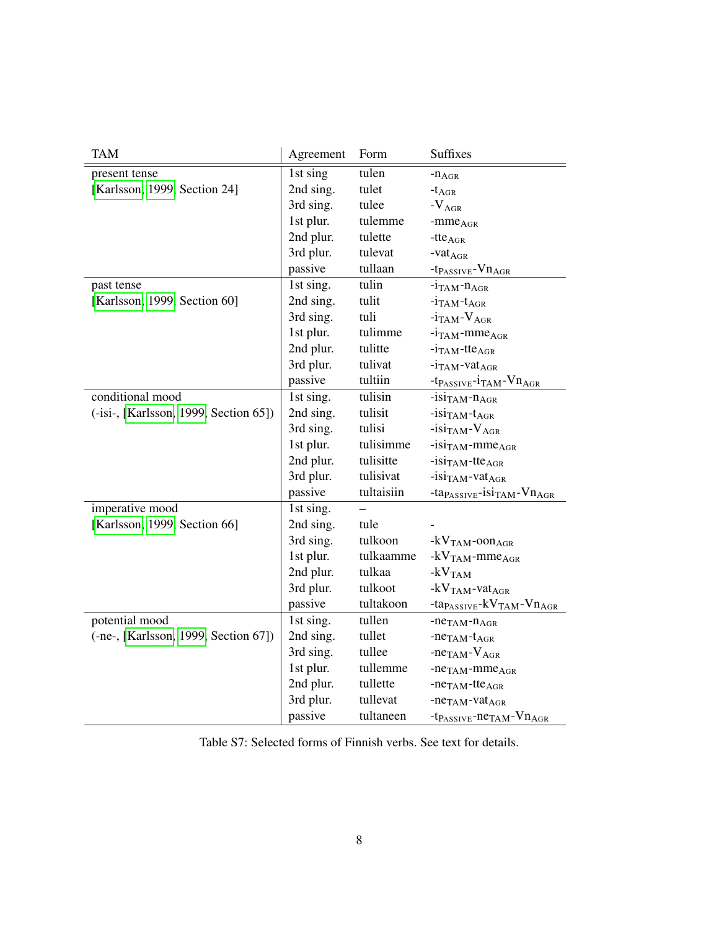| <b>TAM</b>                            | Agreement | Form       | <b>Suffixes</b>                                         |
|---------------------------------------|-----------|------------|---------------------------------------------------------|
| present tense                         | 1st sing  | tulen      | $-n_{AGR}$                                              |
| [Karlsson, 1999, Section 24]          | 2nd sing. | tulet      | $-t_{\rm AGR}$                                          |
|                                       | 3rd sing. | tulee      | $-V_{AGR}$                                              |
|                                       | 1st plur. | tulemme    | $-mmeAGR$                                               |
|                                       | 2nd plur. | tulette    | $-tte_{AGR}$                                            |
|                                       | 3rd plur. | tulevat    | $-{\mathrm{vat}}_{{\mathrm{AGR}}}$                      |
|                                       | passive   | tullaan    | $-t_{PASSIVE}-Vn_{AGR}$                                 |
| past tense                            | 1st sing. | tulin      | $-i$ TAM <sup>-n</sup> AGR                              |
| [Karlsson, 1999, Section 60]          | 2nd sing. | tulit      | $-i$ TAM <sup>-t</sup> AGR                              |
|                                       | 3rd sing. | tuli       | $-i$ TAM $-V$ AGR                                       |
|                                       | 1st plur. | tulimme    | $-i$ TAM-mme <sub>AGR</sub>                             |
|                                       | 2nd plur. | tulitte    | $-i$ TAM-tte <sub>AGR</sub>                             |
|                                       | 3rd plur. | tulivat    | $-i_{TAM}$ -vat <sub>AGR</sub>                          |
|                                       | passive   | tultiin    | $-t_{PASSIVE}-i_{TAM}-Vn_{AGR}$                         |
| conditional mood                      | 1st sing. | tulisin    | $-i$ SITAM- $n_{AGR}$                                   |
| (-isi-, [Karlsson, 1999, Section 65]) | 2nd sing. | tulisit    | $-i\sin_{TAM} - t_{AGR}$                                |
|                                       | 3rd sing. | tulisi     | $-i$ si <sub>TAM</sub> - $V_{AGR}$                      |
|                                       | 1st plur. | tulisimme  | $-i\sin_{TAM}$ -mme <sub>AGR</sub>                      |
|                                       | 2nd plur. | tulisitte  | $-$ isi <sub>TAM</sub> -tte <sub>AGR</sub>              |
|                                       | 3rd plur. | tulisivat  | $-i\sin_{TAM}$ -vat <sub>AGR</sub>                      |
|                                       | passive   | tultaisiin | -ta $_{PASSIVE}$ -isi <sub>TAM</sub> -Vn <sub>AGR</sub> |
| imperative mood                       | 1st sing. |            |                                                         |
| [Karlsson, 1999, Section 66]          | 2nd sing. | tule       |                                                         |
|                                       | 3rd sing. | tulkoon    | $-kVTAM$ -oon AGR                                       |
|                                       | 1st plur. | tulkaamme  | $-kVTAM$ -mme <sub>AGR</sub>                            |
|                                       | 2nd plur. | tulkaa     | $-kVTAM$                                                |
|                                       | 3rd plur. | tulkoot    | $-kV_{TAM}$ -vat $_{AGR}$                               |
|                                       | passive   | tultakoon  | $-ta_{PASSIVE}$ - $kV_{TAM}$ - $Vn_{AGR}$               |
| potential mood                        | 1st sing. | tullen     | $-ne_{TAM}-n_{AGR}$                                     |
| (-ne-, [Karlsson, 1999, Section 67])  | 2nd sing. | tullet     | $-ne_{TAM}-t_{AGR}$                                     |
|                                       | 3rd sing. | tullee     | $-ne_{TAM}-V_{AGR}$                                     |
|                                       | 1st plur. | tullemme   | $-ne_{TAM}-mme_{AGR}$                                   |
|                                       | 2nd plur. | tullette   | $-neTAM -tteAGR$                                        |
|                                       | 3rd plur. | tullevat   | $-neTAM-vatAGR$                                         |
|                                       | passive   | tultaneen  | $-t_{PASSIVE}$ -ne <sub>TAM</sub> -Vn <sub>AGR</sub>    |

<span id="page-7-0"></span>Table S7: Selected forms of Finnish verbs. See text for details.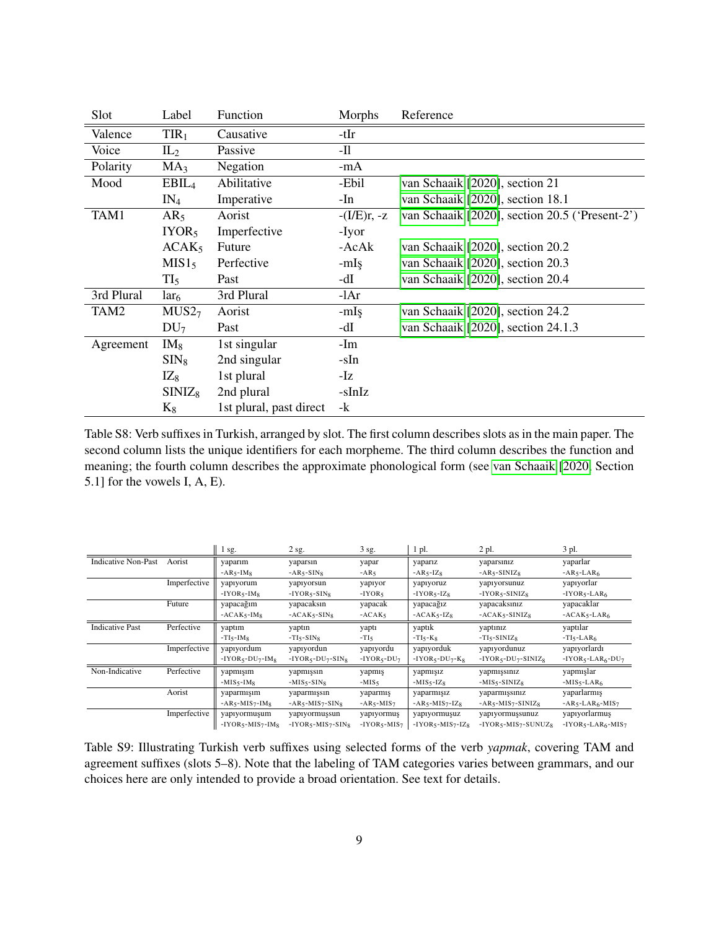| Slot       | Label             | Function                | Morphs        | Reference                                      |
|------------|-------------------|-------------------------|---------------|------------------------------------------------|
| Valence    | TIR <sub>1</sub>  | Causative               | -tIr          |                                                |
| Voice      | $IL_2$            | Passive                 | $-I1$         |                                                |
| Polarity   | MA <sub>3</sub>   | Negation                | $-mA$         |                                                |
| Mood       | EBIL <sub>4</sub> | Abilitative             | -Ebil         | van Schaaik [2020], section 21                 |
|            | $IN_4$            | Imperative              | -In           | van Schaaik [2020], section 18.1               |
| TAM1       | AR <sub>5</sub>   | Aorist                  | $-(I/E)r, -z$ | van Schaaik [2020], section 20.5 ('Present-2') |
|            | IYOR <sub>5</sub> | Imperfective            | -Iyor         |                                                |
|            | ACAK <sub>5</sub> | Future                  | -AcAk         | van Schaaik [2020], section 20.2               |
|            | MIS1 <sub>5</sub> | Perfective              | $-mIs$        | van Schaaik [2020], section 20.3               |
|            | TI <sub>5</sub>   | Past                    | -dI           | van Schaaik [2020], section 20.4               |
| 3rd Plural | $\text{lar}_6$    | 3rd Plural              | $-1Ar$        |                                                |
| TAM2       | MUS2 <sub>7</sub> | Aorist                  | -mIs          | van Schaaik [2020], section 24.2               |
|            | DU <sub>7</sub>   | Past                    | -dI           | van Schaaik [2020], section 24.1.3             |
| Agreement  | $IM_8$            | 1st singular            | -Im           |                                                |
|            | $\text{SIN}_8$    | 2nd singular            | -sIn          |                                                |
|            | $IZ_8$            | 1st plural              | -Iz           |                                                |
|            | $SINIZ_8$         | 2nd plural              | -sInIz        |                                                |
|            | $K_8$             | 1st plural, past direct | $-k$          |                                                |

<span id="page-8-0"></span>Table S8: Verb suffixes in Turkish, arranged by slot. The first column describes slots as in the main paper. The second column lists the unique identifiers for each morpheme. The third column describes the function and meaning; the fourth column describes the approximate phonological form (see [van Schaaik](#page-18-3) [\[2020,](#page-18-3) Section 5.1] for the vowels I, A, E).

|                            |              | $1$ sg.                     | $2$ sg.                | 3 sg.           | 1 pl.               | 2 pl.                | 3 pl.              |
|----------------------------|--------------|-----------------------------|------------------------|-----------------|---------------------|----------------------|--------------------|
| <b>Indicative Non-Past</b> | Aorist       | yaparım                     | yaparsın               | yapar           | yaparız             | yaparsınız           | yaparlar           |
|                            |              | $-AR5-IM8$                  | $-AR5-SIN8$            | $-AR5$          | $-AR5-IZ8$          | $-AR5-SINIZ8$        | $-AR5-LAR6$        |
|                            | Imperfective | yapıyorum                   | yapıyorsun             | yapıyor         | yapıyoruz           | yapıyorsunuz         | yapıyorlar         |
|                            |              | $-IVOR5-IM8$                | $-IYOR5-SIN8$          | $-IVOR5$        | $-IVOR5-IZ8$        | $-IYOR5-SINIZ8$      | $-IVOR5-LAR6$      |
|                            | Future       | yapacağım                   | yapacaksın             | yapacak         | yapacağız           | yapacaksınız         | yapacaklar         |
|                            |              | $-ACAK5-IM8$                | $-ACAK5-SIN8$          | $-ACAK5$        | $-ACAK5-IZ8$        | $-ACAK5-SINIZ8$      | $-ACAK5-LAR6$      |
| <b>Indicative Past</b>     | Perfective   | yaptım                      | yaptın                 | yaptı           | yaptık              | yaptınız             | yaptılar           |
|                            |              | $-TI5$ -IM $8$              | $-TI5-SIN8$            | $-TI5$          | $-TI5-K8$           | $-TI5-SINIZ8$        | $-TI5-LAR6$        |
|                            | Imperfective | yapıyordum                  | yapıyordun             | yapıyordu       | yapıyorduk          | yapıyordunuz         | yapıyorlardı       |
|                            |              | $-IVOR5-DU7-IM8$            | $-IYOR5-DU7-SIN8$      | $-IVOR5-DU7$    | $-IVOR5-DU7-K8$     | $-IYOR5-DU7-SINIZ8$  | $-IYOR5-LAR6-DU7$  |
| Non-Indicative             | Perfective   | yapmışım                    | yapmışsın              | yapmış          | yapmışız            | yapmışsınız          | yapmışlar          |
|                            |              | $-MIS_{5}$ -IM <sub>8</sub> | $-MIS5-SIN8$           | $-MIS5$         | $-MIS5-IZ8$         | $-MIS5-SINIZ8$       | $-MIS5-LAR6$       |
|                            | Aorist       | yaparmışım                  | yaparmışsın            | yaparmış        | yaparmışız          | yaparmışsınız        | yaparlarmış        |
|                            |              | $-AR_5-MIS_7-IM_8$          | $-AR5-MIS7-SIN8$       | $-AR5-MIS7$     | $-AR5-MIS7-IZ8$     | $-AR5-MIS7-SINIZ8$   | $-AR5-LAR6-MIS7$   |
|                            | Imperfective | yapıyormuşum                | yapıyormuşsun          | yapıyormuş      | yapıyormuşuz        | yapıyormuşsunuz      | yapıyorlarmuş      |
|                            |              | $-IYOR5 - MIS7-IM8$         | $-IYOR5 - MIS7 - SIN8$ | $-IYOR5 - MIS7$ | $-IYOR5 - MIS7-IZ8$ | $-IYOR5-MIS7-SUNUZ8$ | $-IYOR5-LAR6-MIS7$ |

<span id="page-8-1"></span>Table S9: Illustrating Turkish verb suffixes using selected forms of the verb *yapmak*, covering TAM and agreement suffixes (slots 5–8). Note that the labeling of TAM categories varies between grammars, and our choices here are only intended to provide a broad orientation. See text for details.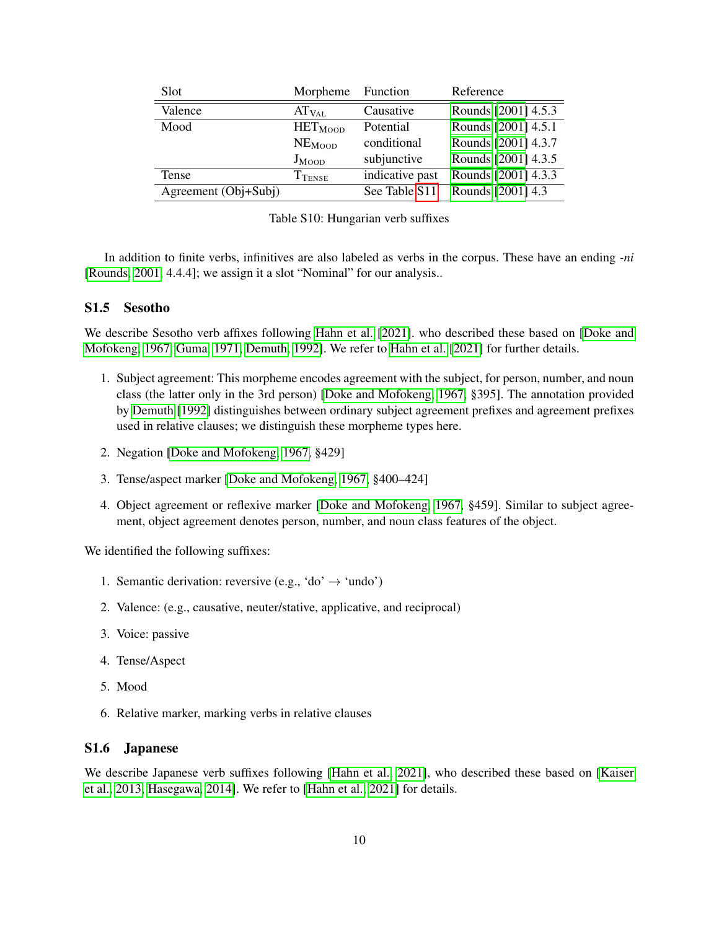| Slot                 | Morpheme                      | Function        | Reference           |
|----------------------|-------------------------------|-----------------|---------------------|
| Valence              | $AT_{VAL}$                    | Causative       | Rounds [2001] 4.5.3 |
| Mood                 | HET <sub>Moon</sub>           | Potential       | Rounds [2001] 4.5.1 |
|                      | NE <sub>Moon</sub>            | conditional     | Rounds [2001] 4.3.7 |
|                      | $J_{MOOD}$                    | subjunctive     | Rounds [2001] 4.3.5 |
| Tense                | $\mathrm{T}_{\mathrm{TENSE}}$ | indicative past | Rounds [2001] 4.3.3 |
| Agreement (Obj+Subj) |                               | See Table S11   | Rounds [2001] 4.3   |

<span id="page-9-2"></span>

|  |  | Table S10: Hungarian verb suffixes |  |  |
|--|--|------------------------------------|--|--|
|--|--|------------------------------------|--|--|

In addition to finite verbs, infinitives are also labeled as verbs in the corpus. These have an ending *-ni* [\[Rounds, 2001,](#page-18-4) 4.4.4]; we assign it a slot "Nominal" for our analysis..

#### <span id="page-9-0"></span>S1.5 Sesotho

We describe Sesotho verb affixes following [Hahn et al.](#page-18-5) [\[2021\]](#page-18-5). who described these based on [\[Doke and](#page-18-6) [Mofokeng, 1967,](#page-18-6) [Guma, 1971,](#page-18-7) [Demuth, 1992\]](#page-18-8). We refer to [Hahn et al.](#page-18-5) [\[2021\]](#page-18-5) for further details.

- 1. Subject agreement: This morpheme encodes agreement with the subject, for person, number, and noun class (the latter only in the 3rd person) [\[Doke and Mofokeng, 1967,](#page-18-6) §395]. The annotation provided by [Demuth](#page-18-8) [\[1992\]](#page-18-8) distinguishes between ordinary subject agreement prefixes and agreement prefixes used in relative clauses; we distinguish these morpheme types here.
- 2. Negation [\[Doke and Mofokeng, 1967,](#page-18-6) §429]
- 3. Tense/aspect marker [\[Doke and Mofokeng, 1967,](#page-18-6) §400–424]
- 4. Object agreement or reflexive marker [\[Doke and Mofokeng, 1967,](#page-18-6) §459]. Similar to subject agreement, object agreement denotes person, number, and noun class features of the object.

We identified the following suffixes:

- 1. Semantic derivation: reversive (e.g., 'do'  $\rightarrow$  'undo')
- 2. Valence: (e.g., causative, neuter/stative, applicative, and reciprocal)
- 3. Voice: passive
- 4. Tense/Aspect
- 5. Mood
- 6. Relative marker, marking verbs in relative clauses

#### <span id="page-9-1"></span>S1.6 Japanese

We describe Japanese verb suffixes following [\[Hahn et al., 2021\]](#page-18-5), who described these based on [\[Kaiser](#page-18-9) [et al., 2013,](#page-18-9) [Hasegawa, 2014\]](#page-18-10). We refer to [\[Hahn et al., 2021\]](#page-18-5) for details.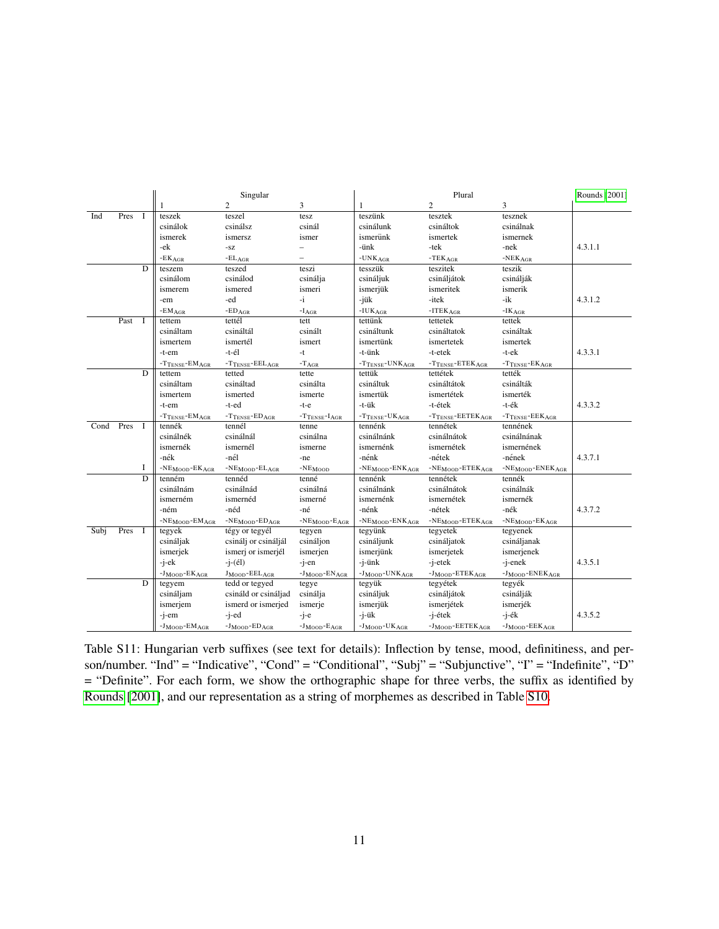|      |      |                | Singular                               |                               |                            | Plural                                                                   |                                 |                                     | Rounds [2001] |
|------|------|----------------|----------------------------------------|-------------------------------|----------------------------|--------------------------------------------------------------------------|---------------------------------|-------------------------------------|---------------|
|      |      |                |                                        | 2                             | 3                          | $\mathbf{1}$                                                             | 2                               | 3                                   |               |
| Ind  | Pres | <sup>1</sup>   | teszek                                 | teszel                        | tesz                       | teszünk                                                                  | tesztek                         | tesznek                             |               |
|      |      |                | csinálok                               | csinálsz                      | csinál                     | csinálunk                                                                | csináltok                       | csinálnak                           |               |
|      |      |                | ismerek                                | ismersz                       | ismer                      | ismerünk                                                                 | ismertek                        | ismernek                            |               |
|      |      |                | -ek                                    | -SZ                           | $\equiv$                   | -ünk                                                                     | -tek                            | -nek                                | 4.3.1.1       |
|      |      |                | $\texttt{\texttt{-EK}}_{\texttt{AGR}}$ | $-EL_{AGR}$                   | $\equiv$                   | $-UNKAGR$                                                                | $-TEKAGR$                       | $\text{-}\textsc{NEK}_\textsc{AGR}$ |               |
|      |      | D              | teszem                                 | teszed                        | teszi                      | tesszük                                                                  | teszitek                        | teszik                              |               |
|      |      |                | csinálom                               | csinálod                      | csinálja                   | csináljuk                                                                | csináljátok                     | csinálják                           |               |
|      |      |                | ismerem                                | ismered                       | ismeri                     | ismerjük                                                                 | ismeritek                       | ismerik                             |               |
|      |      |                | -em                                    | -ed                           | $-i$                       | -jük                                                                     | -itek                           | $-ik$                               | 4.3.1.2       |
|      |      |                | $-EMAGR$                               | $\texttt{\texttt{-ED}_{AGR}}$ | $\mathbf{-I}_{\text{AGR}}$ | $-IUKAGR$                                                                | $-ITEKAGR$                      | $\texttt{-IK}_{\text{AGR}}$         |               |
|      | Past | $\blacksquare$ | tettem                                 | tettél                        | tett                       | tettünk                                                                  | tettetek                        | tettek                              |               |
|      |      |                | csináltam                              | csináltál                     | csinált                    | csináltunk                                                               | csináltatok                     | csináltak                           |               |
|      |      |                | ismertem                               | ismertél                      | ismert                     | ismertünk                                                                | ismertetek                      | ismertek                            |               |
|      |      |                | -t-em                                  | -t-él                         | -t                         | -t-ünk                                                                   | -t-etek                         | -t-ek                               | 4.3.3.1       |
|      |      |                | $-T_{TENSE}$ - $EM_{AGR}$              | $-T$ TENSE-EELAGR             | $-T_{AGR}$                 | $-T$ TENSE <sup>-UNK</sup> AGR                                           | $-T$ TENSE <sup>-ETEK</sup> AGR | $-T$ TENSE-EKAGR                    |               |
|      |      | D              | tettem                                 | tetted                        | tette                      | tettük                                                                   | tettétek                        | tették                              |               |
|      |      |                | csináltam                              | csináltad                     | csinálta                   | csináltuk                                                                | csináltátok                     | csinálták                           |               |
|      |      |                | ismertem                               | ismerted                      | ismerte                    | ismertük                                                                 | ismertétek                      | ismerték                            |               |
|      |      |                | -t-em                                  | -t-ed                         | $-t-e$                     | -t-ük                                                                    | -t-étek                         | -t-ék                               | 4.3.3.2       |
|      |      |                | $-T$ TENSE-EMAGR                       | $-T$ TENSE-EDAGR              | $-T$ TENSE $-I$ AGR        | $-T$ TENSE-UKAGR                                                         | $-T$ TENSE-EETEKAGR             | $-T$ TENSE-EEKAGR                   |               |
| Cond | Pres | $\mathbf{I}$   | tennék                                 | tennél                        | tenne                      | tennénk                                                                  | tennétek                        | tennének                            |               |
|      |      |                | csinálnék                              | csinálnál                     | csinálna                   | csinálnánk                                                               | csinálnátok                     | csinálnának                         |               |
|      |      |                | ismernék                               | ismernél                      | ismerne                    | ismernénk                                                                | ismernétek                      | ismernének                          |               |
|      |      |                | -nék                                   | -nél                          | -ne                        | -nénk                                                                    | -nétek                          | -nének                              | 4.3.7.1       |
|      |      | 1              | $-NEMOD-EKAGR$                         | $-NEMOD-ELAGR$                | $-NEMOD$                   | $-NEMOD-ENKAGR$                                                          | $-NEMOD-ETEKAGR$                | $-NE_{MOD}-ENEK_{AGR}$              |               |
|      |      | D              | tenném                                 | tennéd                        | tenné                      | tennénk                                                                  | tennétek                        | tennék                              |               |
|      |      |                | csinálnám                              | csinálnád                     | csinálná                   | csinálnánk                                                               | csinálnátok                     | csinálnák                           |               |
|      |      |                | ismerném                               | ismernéd                      | ismerné                    | ismernénk                                                                | ismernétek                      | ismernék                            |               |
|      |      |                | -ném                                   | -néd                          | -né                        | -nénk                                                                    | -nétek                          | -nék                                | 4.3.7.2       |
|      |      |                | $-NEMOD-EMAGR$                         | $-NEMOD-EDAGR$                | $-NEMOD-EAGR$              | $\text{-}\mathrm{NE}_{\mathrm{MOOD}}\text{-}\mathrm{ENK}_{\mathrm{AGR}}$ | $-NEMOD-ETEKAGR$                | $-NEMOD-EKAGR$                      |               |
| Subj | Pres | $\mathbf{I}$   | tegyek                                 | tégy or tegyél                | tegyen                     | tegyünk                                                                  | tegyetek                        | tegyenek                            |               |
|      |      |                | csináljak                              | csinálj or csináljál          | csináljon                  | csináljunk                                                               | csináljatok                     | csináljanak                         |               |
|      |      |                | ismerjek                               | ismerj or ismerjél            | ismerjen                   | ismerjünk                                                                | ismerjetek                      | ismerjenek                          |               |
|      |      |                | $-i$ -e $k$                            | $-i-(el)$                     | -i-en                      | $-i$ -ün $k$                                                             | -j-etek                         | -j-enek                             | 4.3.5.1       |
|      |      |                | $-J_{MOOD}$ - $EK_{AGR}$               | JMOOD-EELAGR                  | $-J_{MOOD}$ - $EN_{AGR}$   | -JMOOD-UNKAGR                                                            | $-J_{MOOD}$ - $ETEK_{AGR}$      | -JMOOD-ENEKAGR                      |               |
|      |      | D              | tegyem                                 | tedd or tegyed                | tegye                      | tegyük                                                                   | tegyétek                        | tegyék                              |               |
|      |      |                | csináljam                              | csináld or csináljad          | csinálja                   | csináljuk                                                                | csináljátok                     | csinálják                           |               |
|      |      |                | ismerjem                               | ismerd or ismerjed            | ismerje                    | ismerjük                                                                 | ismerjétek                      | ismerjék                            |               |
|      |      |                | -j-em                                  | -j-ed                         | $-i$ -e                    | -j-ük                                                                    | -j-étek                         | $-j$ -ék                            | 4.3.5.2       |
|      |      |                | $-J_{MOOD}$ - $EM_{AGR}$               | $-JMOD-EDAGR$                 | $-JMOD-EAGR$               | $-J_{MOOD}$ -UKAGR                                                       | $-J_{MOOD}$ - $EETEK_{AGR}$     | $-J_{MOOD}$ - $EEK_{AGR}$           |               |

<span id="page-10-0"></span>Table S11: Hungarian verb suffixes (see text for details): Inflection by tense, mood, definitiness, and person/number. "Ind" = "Indicative", "Cond" = "Conditional", "Subj" = "Subjunctive", "I" = "Indefinite", "D" = "Definite". For each form, we show the orthographic shape for three verbs, the suffix as identified by [Rounds](#page-18-4) [\[2001\]](#page-18-4), and our representation as a string of morphemes as described in Table [S10.](#page-9-2)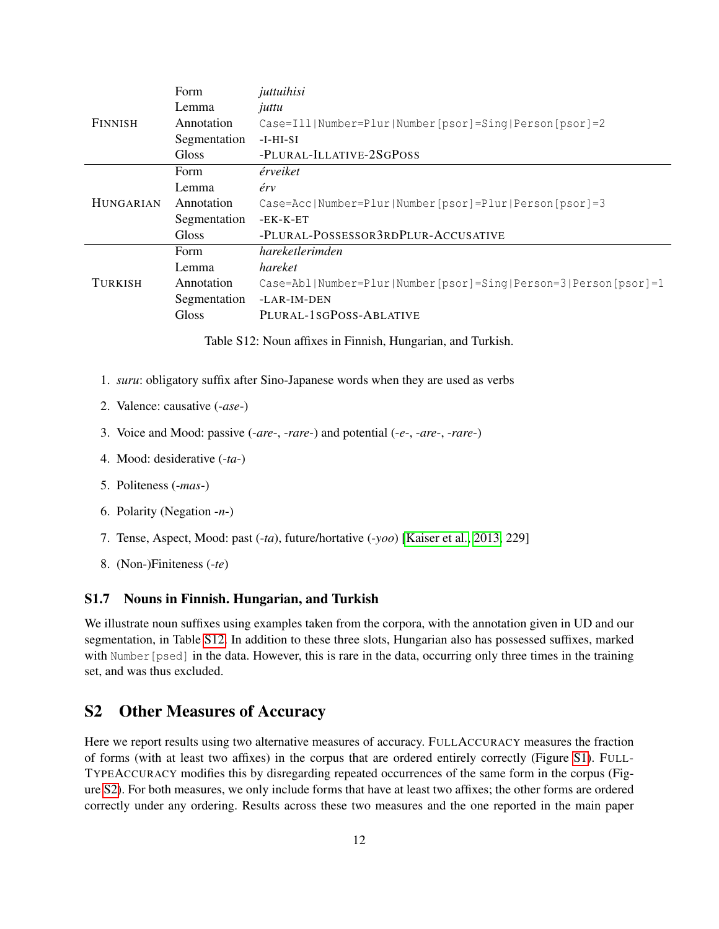|                  | <b>Form</b>  | juttuihisi                                                     |  |  |
|------------------|--------------|----------------------------------------------------------------|--|--|
|                  | Lemma        | juttu                                                          |  |  |
| <b>FINNISH</b>   | Annotation   | Case=Ill Number=Plur Number[psor]=Sing Person[psor]=2          |  |  |
|                  | Segmentation | $-I-HI-SI$                                                     |  |  |
|                  | <b>Gloss</b> | -PLURAL-ILLATIVE-2SGPOSS                                       |  |  |
|                  | <b>Form</b>  | érveiket                                                       |  |  |
|                  | Lemma        | érv                                                            |  |  |
| <b>HUNGARIAN</b> | Annotation   | Case=Acc Number=Plur Number[psor]=Plur Person[psor]=3          |  |  |
|                  | Segmentation | $-EK-K-ET$                                                     |  |  |
|                  | <b>Gloss</b> | -PLURAL-POSSESSOR3RDPLUR-ACCUSATIVE                            |  |  |
|                  | Form         | hareketlerimden                                                |  |  |
|                  | Lemma        | hareket                                                        |  |  |
| <b>TURKISH</b>   | Annotation   | Case=Abl Number=Plur Number[psor]=Sing Person=3 Person[psor]=1 |  |  |
|                  | Segmentation | $-LAR-IM-DEN$                                                  |  |  |
|                  | <b>Gloss</b> | PLURAL-1SGPOSS-ABLATIVE                                        |  |  |

<span id="page-11-2"></span>Table S12: Noun affixes in Finnish, Hungarian, and Turkish.

- 1. *suru*: obligatory suffix after Sino-Japanese words when they are used as verbs
- 2. Valence: causative (-*ase*-)
- 3. Voice and Mood: passive (-*are*-, -*rare*-) and potential (-*e*-, -*are*-, -*rare*-)
- 4. Mood: desiderative (-*ta*-)
- 5. Politeness (-*mas*-)
- 6. Polarity (Negation -*n*-)
- 7. Tense, Aspect, Mood: past (-*ta*), future/hortative (-*yoo*) [\[Kaiser et al., 2013,](#page-18-9) 229]
- 8. (Non-)Finiteness (-*te*)

#### <span id="page-11-0"></span>S1.7 Nouns in Finnish. Hungarian, and Turkish

We illustrate noun suffixes using examples taken from the corpora, with the annotation given in UD and our segmentation, in Table [S12.](#page-11-2) In addition to these three slots, Hungarian also has possessed suffixes, marked with Number [psed] in the data. However, this is rare in the data, occurring only three times in the training set, and was thus excluded.

# <span id="page-11-1"></span>S2 Other Measures of Accuracy

Here we report results using two alternative measures of accuracy. FULLACCURACY measures the fraction of forms (with at least two affixes) in the corpus that are ordered entirely correctly (Figure [S1\)](#page-13-0). FULL-TYPEACCURACY modifies this by disregarding repeated occurrences of the same form in the corpus (Figure [S2\)](#page-14-0). For both measures, we only include forms that have at least two affixes; the other forms are ordered correctly under any ordering. Results across these two measures and the one reported in the main paper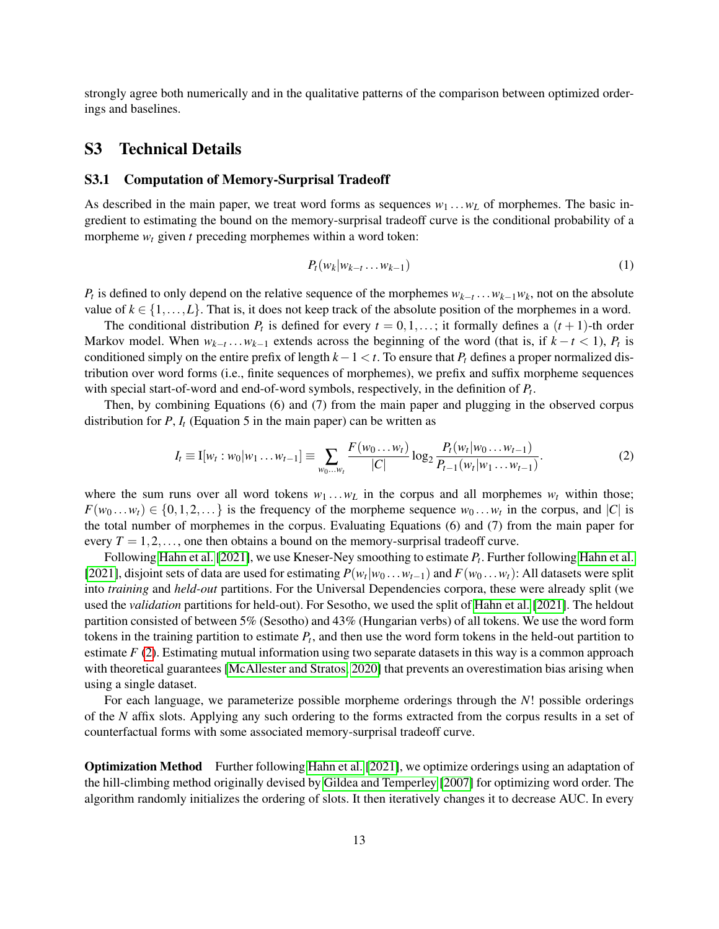strongly agree both numerically and in the qualitative patterns of the comparison between optimized orderings and baselines.

## <span id="page-12-0"></span>S3 Technical Details

#### <span id="page-12-1"></span>S3.1 Computation of Memory-Surprisal Tradeoff

As described in the main paper, we treat word forms as sequences  $w_1 \dots w_L$  of morphemes. The basic ingredient to estimating the bound on the memory-surprisal tradeoff curve is the conditional probability of a morpheme  $w_t$  given  $t$  preceding morphemes within a word token:

<span id="page-12-2"></span>
$$
P_t(w_k|w_{k-t}\ldots w_{k-1})\tag{1}
$$

*P*<sup>*t*</sup> is defined to only depend on the relative sequence of the morphemes  $w_{k-t}$ ...*w*<sub>*k*−1</sub>*w*<sub>*k*</sub>, not on the absolute value of  $k \in \{1, \ldots, L\}$ . That is, it does not keep track of the absolute position of the morphemes in a word.

The conditional distribution  $P_t$  is defined for every  $t = 0, 1, \ldots$ ; it formally defines a  $(t + 1)$ -th order Markov model. When  $w_{k-t}$ ... $w_{k-1}$  extends across the beginning of the word (that is, if  $k-t < 1$ ),  $P_t$  is conditioned simply on the entire prefix of length *k*−1 < *t*. To ensure that *P<sup>t</sup>* defines a proper normalized distribution over word forms (i.e., finite sequences of morphemes), we prefix and suffix morpheme sequences with special start-of-word and end-of-word symbols, respectively, in the definition of *P<sup>t</sup>* .

Then, by combining Equations (6) and (7) from the main paper and plugging in the observed corpus distribution for  $P$ ,  $I_t$  (Equation 5 in the main paper) can be written as

$$
I_t \equiv I[w_t : w_0 | w_1 ... w_{t-1}] \equiv \sum_{w_0 ... w_t} \frac{F(w_0 ... w_t)}{|C|} \log_2 \frac{P_t(w_t | w_0 ... w_{t-1})}{P_{t-1}(w_t | w_1 ... w_{t-1})}.
$$
 (2)

where the sum runs over all word tokens  $w_1 \ldots w_L$  in the corpus and all morphemes  $w_t$  within those;  $F(w_0 \dots w_t) \in \{0, 1, 2, \dots\}$  is the frequency of the morpheme sequence  $w_0 \dots w_t$  in the corpus, and  $|C|$  is the total number of morphemes in the corpus. Evaluating Equations (6) and (7) from the main paper for every  $T = 1, 2, \ldots$ , one then obtains a bound on the memory-surprisal tradeoff curve.

Following [Hahn et al.](#page-18-5) [\[2021\]](#page-18-5), we use Kneser-Ney smoothing to estimate *P<sup>t</sup>* . Further following [Hahn et al.](#page-18-5) [\[2021\]](#page-18-5), disjoint sets of data are used for estimating  $P(w_t|w_0 \dots w_{t-1})$  and  $F(w_0 \dots w_t)$ : All datasets were split into *training* and *held-out* partitions. For the Universal Dependencies corpora, these were already split (we used the *validation* partitions for held-out). For Sesotho, we used the split of [Hahn et al.](#page-18-5) [\[2021\]](#page-18-5). The heldout partition consisted of between 5% (Sesotho) and 43% (Hungarian verbs) of all tokens. We use the word form tokens in the training partition to estimate *P<sup>t</sup>* , and then use the word form tokens in the held-out partition to estimate *F* [\(2\)](#page-12-2). Estimating mutual information using two separate datasets in this way is a common approach with theoretical guarantees [\[McAllester and Stratos, 2020\]](#page-18-11) that prevents an overestimation bias arising when using a single dataset.

For each language, we parameterize possible morpheme orderings through the *N*! possible orderings of the *N* affix slots. Applying any such ordering to the forms extracted from the corpus results in a set of counterfactual forms with some associated memory-surprisal tradeoff curve.

Optimization Method Further following [Hahn et al.](#page-18-5) [\[2021\]](#page-18-5), we optimize orderings using an adaptation of the hill-climbing method originally devised by [Gildea and Temperley](#page-18-12) [\[2007\]](#page-18-12) for optimizing word order. The algorithm randomly initializes the ordering of slots. It then iteratively changes it to decrease AUC. In every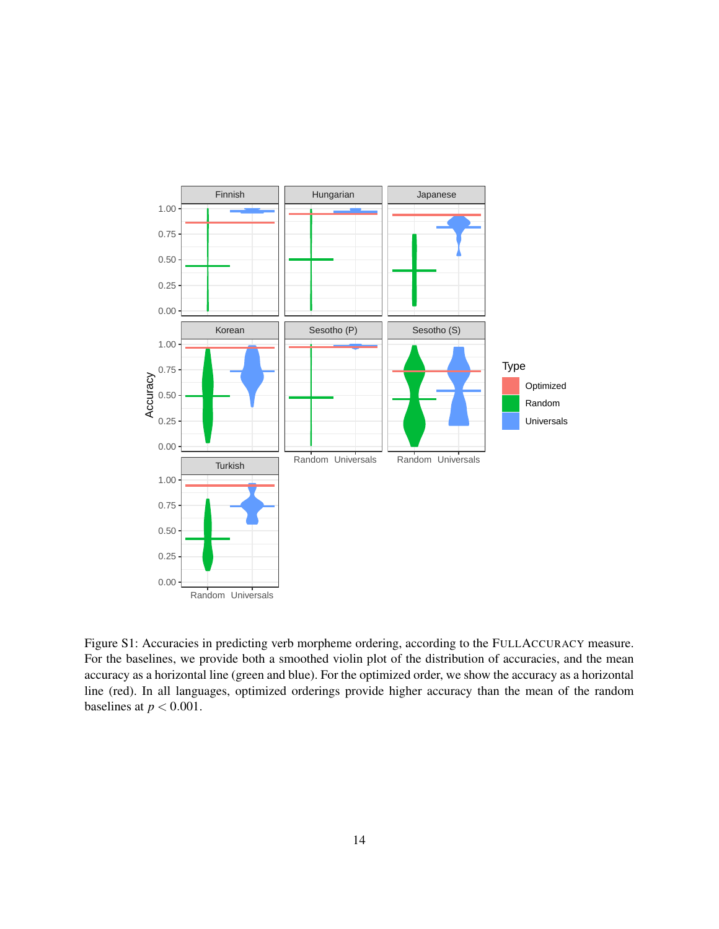

<span id="page-13-0"></span>Figure S1: Accuracies in predicting verb morpheme ordering, according to the FULLACCURACY measure. For the baselines, we provide both a smoothed violin plot of the distribution of accuracies, and the mean accuracy as a horizontal line (green and blue). For the optimized order, we show the accuracy as a horizontal line (red). In all languages, optimized orderings provide higher accuracy than the mean of the random baselines at  $p < 0.001$ .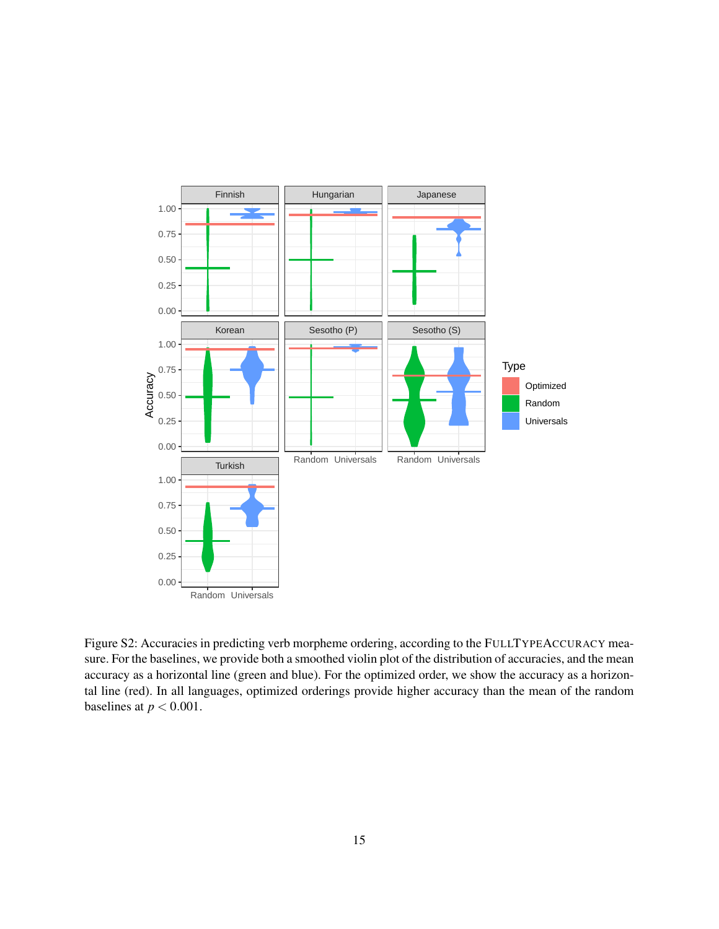

<span id="page-14-0"></span>Figure S2: Accuracies in predicting verb morpheme ordering, according to the FULLTYPEACCURACY measure. For the baselines, we provide both a smoothed violin plot of the distribution of accuracies, and the mean accuracy as a horizontal line (green and blue). For the optimized order, we show the accuracy as a horizontal line (red). In all languages, optimized orderings provide higher accuracy than the mean of the random baselines at  $p < 0.001$ .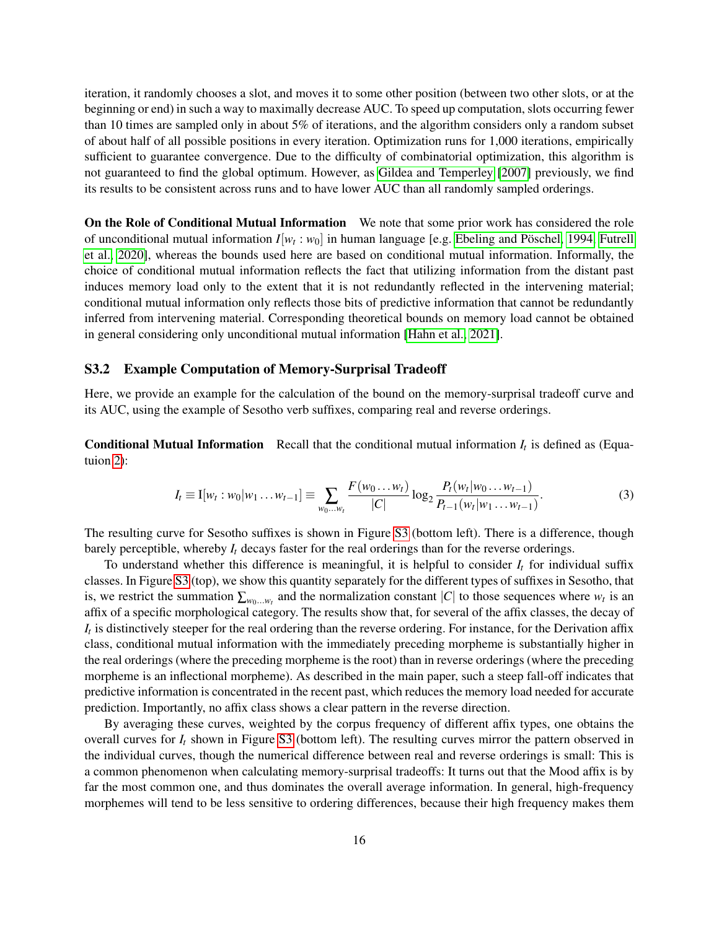iteration, it randomly chooses a slot, and moves it to some other position (between two other slots, or at the beginning or end) in such a way to maximally decrease AUC. To speed up computation, slots occurring fewer than 10 times are sampled only in about 5% of iterations, and the algorithm considers only a random subset of about half of all possible positions in every iteration. Optimization runs for 1,000 iterations, empirically sufficient to guarantee convergence. Due to the difficulty of combinatorial optimization, this algorithm is not guaranteed to find the global optimum. However, as [Gildea and Temperley](#page-18-12) [\[2007\]](#page-18-12) previously, we find its results to be consistent across runs and to have lower AUC than all randomly sampled orderings.

On the Role of Conditional Mutual Information We note that some prior work has considered the role of unconditional mutual information  $I[w_t:w_0]$  in human language [e.g. Ebeling and Pöschel, 1994, [Futrell](#page-18-14) [et al., 2020\]](#page-18-14), whereas the bounds used here are based on conditional mutual information. Informally, the choice of conditional mutual information reflects the fact that utilizing information from the distant past induces memory load only to the extent that it is not redundantly reflected in the intervening material; conditional mutual information only reflects those bits of predictive information that cannot be redundantly inferred from intervening material. Corresponding theoretical bounds on memory load cannot be obtained in general considering only unconditional mutual information [\[Hahn et al., 2021\]](#page-18-5).

#### <span id="page-15-0"></span>S3.2 Example Computation of Memory-Surprisal Tradeoff

Here, we provide an example for the calculation of the bound on the memory-surprisal tradeoff curve and its AUC, using the example of Sesotho verb suffixes, comparing real and reverse orderings.

**Conditional Mutual Information** Recall that the conditional mutual information  $I_t$  is defined as (Equatuion [2\)](#page-12-2):

$$
I_t \equiv I[w_t:w_0|w_1\ldots w_{t-1}] \equiv \sum_{w_0\ldots w_t} \frac{F(w_0\ldots w_t)}{|C|} \log_2 \frac{P_t(w_t|w_0\ldots w_{t-1})}{P_{t-1}(w_t|w_1\ldots w_{t-1})}.
$$
 (3)

The resulting curve for Sesotho suffixes is shown in Figure [S3](#page-16-0) (bottom left). There is a difference, though barely perceptible, whereby  $I_t$  decays faster for the real orderings than for the reverse orderings.

To understand whether this difference is meaningful, it is helpful to consider *I<sup>t</sup>* for individual suffix classes. In Figure [S3](#page-16-0) (top), we show this quantity separately for the different types of suffixes in Sesotho, that is, we restrict the summation  $\sum_{w_0...w_t}$  and the normalization constant |*C*| to those sequences where  $w_t$  is an affix of a specific morphological category. The results show that, for several of the affix classes, the decay of *It* is distinctively steeper for the real ordering than the reverse ordering. For instance, for the Derivation affix class, conditional mutual information with the immediately preceding morpheme is substantially higher in the real orderings (where the preceding morpheme is the root) than in reverse orderings (where the preceding morpheme is an inflectional morpheme). As described in the main paper, such a steep fall-off indicates that predictive information is concentrated in the recent past, which reduces the memory load needed for accurate prediction. Importantly, no affix class shows a clear pattern in the reverse direction.

By averaging these curves, weighted by the corpus frequency of different affix types, one obtains the overall curves for  $I_t$  shown in Figure [S3](#page-16-0) (bottom left). The resulting curves mirror the pattern observed in the individual curves, though the numerical difference between real and reverse orderings is small: This is a common phenomenon when calculating memory-surprisal tradeoffs: It turns out that the Mood affix is by far the most common one, and thus dominates the overall average information. In general, high-frequency morphemes will tend to be less sensitive to ordering differences, because their high frequency makes them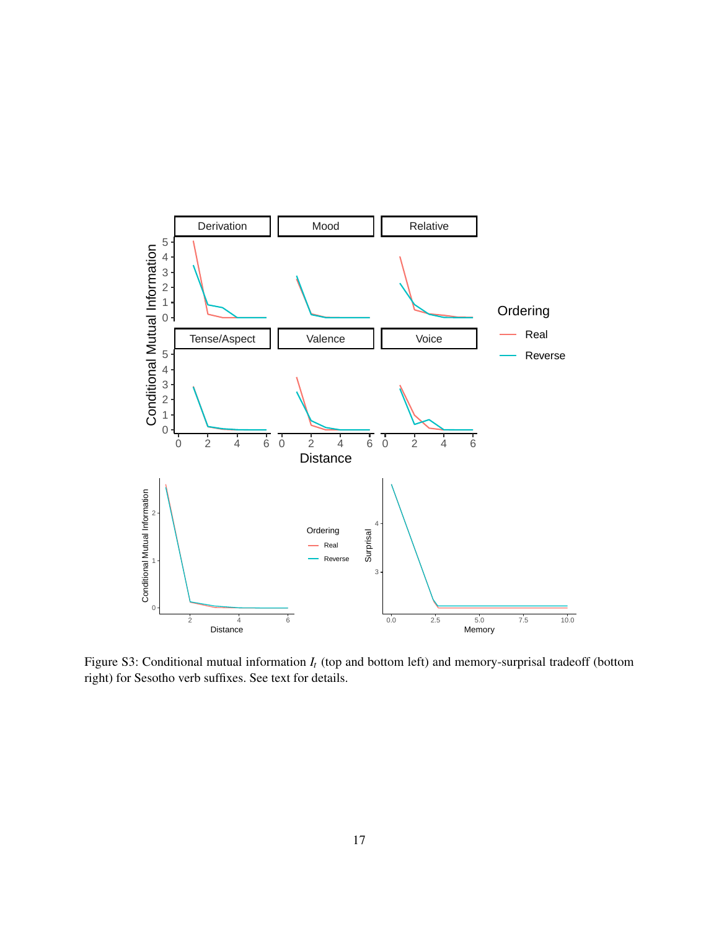

<span id="page-16-0"></span>Figure S3: Conditional mutual information *I<sup>t</sup>* (top and bottom left) and memory-surprisal tradeoff (bottom right) for Sesotho verb suffixes. See text for details.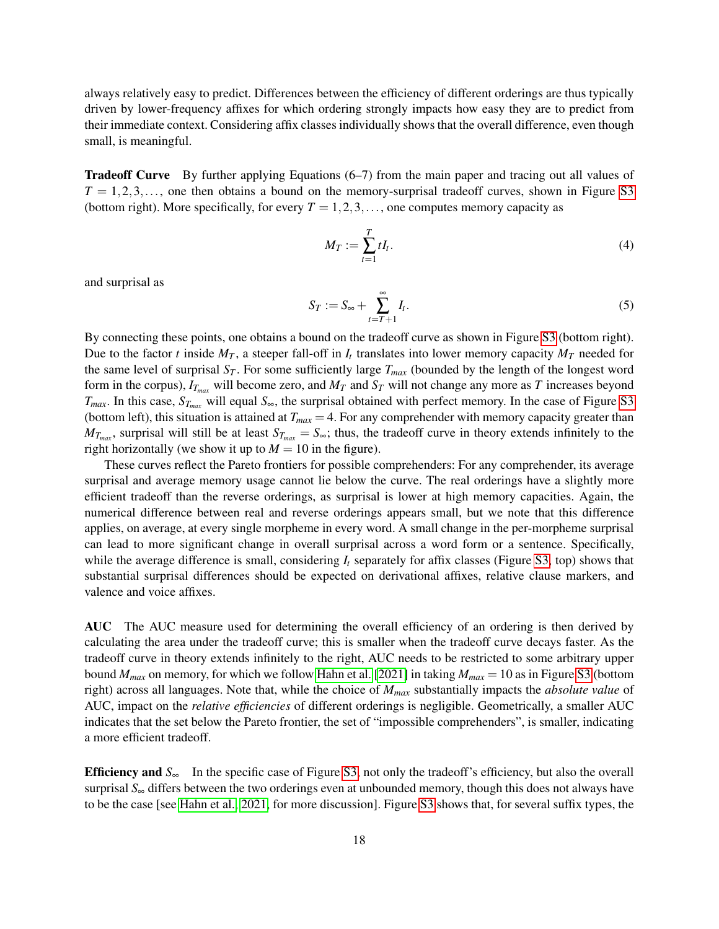always relatively easy to predict. Differences between the efficiency of different orderings are thus typically driven by lower-frequency affixes for which ordering strongly impacts how easy they are to predict from their immediate context. Considering affix classes individually shows that the overall difference, even though small, is meaningful.

Tradeoff Curve By further applying Equations (6–7) from the main paper and tracing out all values of  $T = 1, 2, 3, \ldots$ , one then obtains a bound on the memory-surprisal tradeoff curves, shown in Figure [S3](#page-16-0) (bottom right). More specifically, for every  $T = 1, 2, 3, \ldots$ , one computes memory capacity as

$$
M_T := \sum_{t=1}^T t I_t. \tag{4}
$$

and surprisal as

$$
S_T := S_{\infty} + \sum_{t=T+1}^{\infty} I_t.
$$
\n<sup>(5)</sup>

By connecting these points, one obtains a bound on the tradeoff curve as shown in Figure [S3](#page-16-0) (bottom right). Due to the factor *t* inside  $M_T$ , a steeper fall-off in  $I_t$  translates into lower memory capacity  $M_T$  needed for the same level of surprisal  $S_T$ . For some sufficiently large  $T_{max}$  (bounded by the length of the longest word form in the corpus),  $I_{T_{max}}$  will become zero, and  $M_T$  and  $S_T$  will not change any more as *T* increases beyond  $T_{max}$ . In this case,  $S_{T_{max}}$  will equal  $S_{\infty}$ , the surprisal obtained with perfect memory. In the case of Figure [S3](#page-16-0) (bottom left), this situation is attained at  $T_{max} = 4$ . For any comprehender with memory capacity greater than  $M_{T_{max}}$ , surprisal will still be at least  $S_{T_{max}} = S_{\infty}$ ; thus, the tradeoff curve in theory extends infinitely to the right horizontally (we show it up to  $M = 10$  in the figure).

These curves reflect the Pareto frontiers for possible comprehenders: For any comprehender, its average surprisal and average memory usage cannot lie below the curve. The real orderings have a slightly more efficient tradeoff than the reverse orderings, as surprisal is lower at high memory capacities. Again, the numerical difference between real and reverse orderings appears small, but we note that this difference applies, on average, at every single morpheme in every word. A small change in the per-morpheme surprisal can lead to more significant change in overall surprisal across a word form or a sentence. Specifically, while the average difference is small, considering  $I_t$  separately for affix classes (Figure [S3,](#page-16-0) top) shows that substantial surprisal differences should be expected on derivational affixes, relative clause markers, and valence and voice affixes.

AUC The AUC measure used for determining the overall efficiency of an ordering is then derived by calculating the area under the tradeoff curve; this is smaller when the tradeoff curve decays faster. As the tradeoff curve in theory extends infinitely to the right, AUC needs to be restricted to some arbitrary upper bound *Mmax* on memory, for which we follow [Hahn et al.](#page-18-5) [\[2021\]](#page-18-5) in taking *Mmax* = 10 as in Figure [S3](#page-16-0) (bottom right) across all languages. Note that, while the choice of *Mmax* substantially impacts the *absolute value* of AUC, impact on the *relative efficiencies* of different orderings is negligible. Geometrically, a smaller AUC indicates that the set below the Pareto frontier, the set of "impossible comprehenders", is smaller, indicating a more efficient tradeoff.

Efficiency and *S*<sup>∞</sup> In the specific case of Figure [S3,](#page-16-0) not only the tradeoff's efficiency, but also the overall surprisal  $S_{\infty}$  differs between the two orderings even at unbounded memory, though this does not always have to be the case [see [Hahn et al., 2021,](#page-18-5) for more discussion]. Figure [S3](#page-16-0) shows that, for several suffix types, the